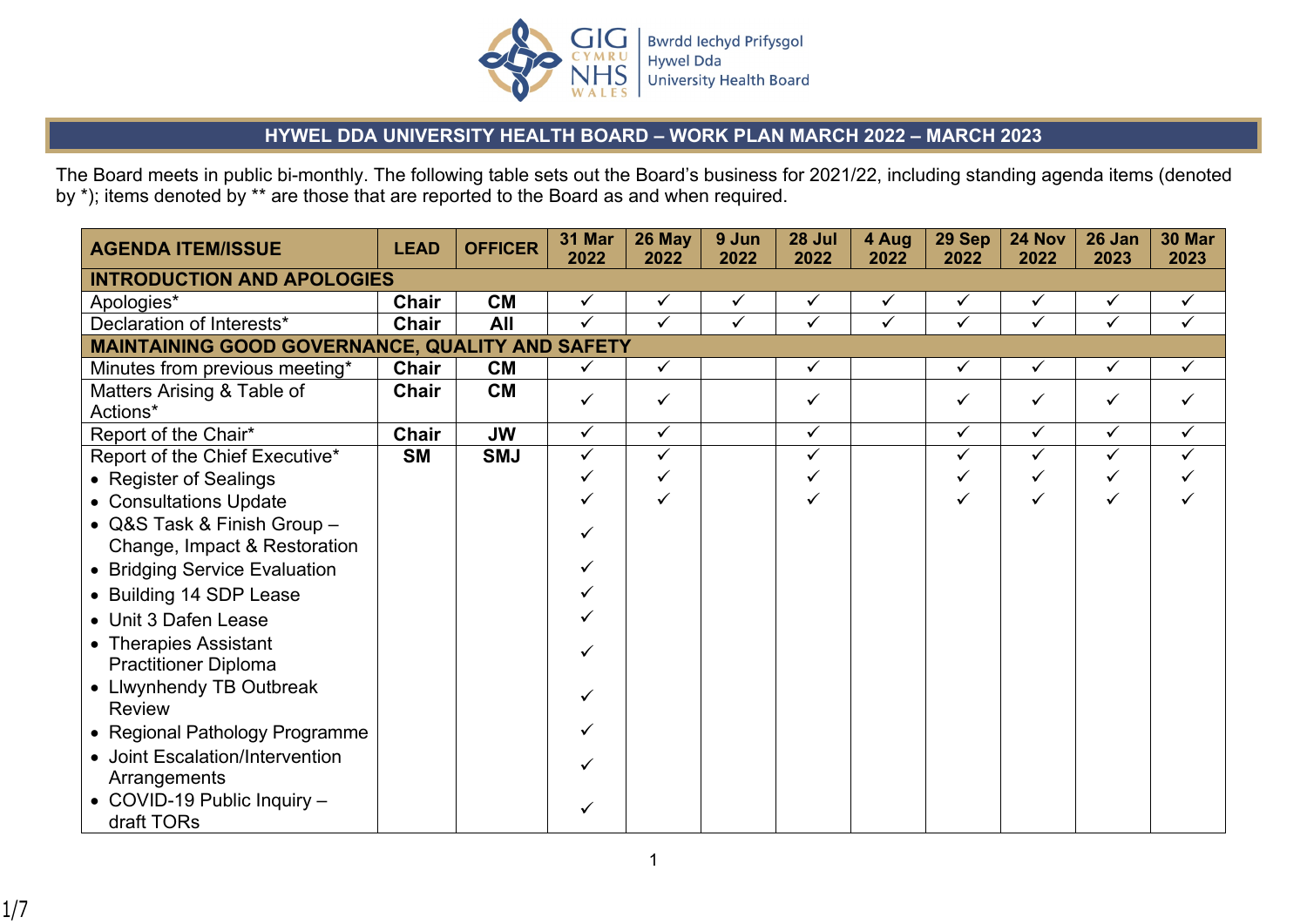

## **HYWEL DDA UNIVERSITY HEALTH BOARD – WORK PLAN MARCH 2022 – MARCH 2023**

The Board meets in public bi-monthly. The following table sets out the Board's business for 2021/22, including standing agenda items (denoted by \*); items denoted by \*\* are those that are reported to the Board as and when required.

| <b>AGENDA ITEM/ISSUE</b>                             | <b>LEAD</b>  | <b>OFFICER</b> | 31 Mar<br>2022          | 26 May<br>2022          | 9 Jun<br>2022 | 28 Jul<br>2022 | 4 Aug<br>2022 | 29 Sep<br>2022 | 24 Nov<br>2022 | 26 Jan<br>2023 | <b>30 Mar</b><br>2023 |
|------------------------------------------------------|--------------|----------------|-------------------------|-------------------------|---------------|----------------|---------------|----------------|----------------|----------------|-----------------------|
| <b>INTRODUCTION AND APOLOGIES</b>                    |              |                |                         |                         |               |                |               |                |                |                |                       |
| Apologies*                                           | Chair        | <b>CM</b>      | ✓                       | ✓                       | ✓             | ✓              | ✓             | $\checkmark$   | $\checkmark$   | ✓              | $\checkmark$          |
| Declaration of Interests*                            | <b>Chair</b> | All            | $\overline{\checkmark}$ | $\overline{\checkmark}$ | $\checkmark$  | $\checkmark$   | $\checkmark$  | $\checkmark$   | $\checkmark$   | $\checkmark$   | $\checkmark$          |
| MAINTAINING GOOD GOVERNANCE, QUALITY AND SAFETY      |              |                |                         |                         |               |                |               |                |                |                |                       |
| Minutes from previous meeting*                       | Chair        | <b>CM</b>      | ✓                       | $\checkmark$            |               | $\checkmark$   |               | ✓              | $\checkmark$   | ✓              | $\checkmark$          |
| Matters Arising & Table of<br>Actions*               | <b>Chair</b> | <b>CM</b>      | ✓                       | ✓                       |               | ✓              |               | ✓              | $\checkmark$   | ✓              | ✓                     |
| Report of the Chair*                                 | <b>Chair</b> | <b>JW</b>      | ✓                       | $\checkmark$            |               | $\checkmark$   |               | ✓              | $\checkmark$   | $\checkmark$   | $\checkmark$          |
| Report of the Chief Executive*                       | <b>SM</b>    | <b>SMJ</b>     | $\checkmark$            | $\checkmark$            |               | $\checkmark$   |               | $\checkmark$   | $\checkmark$   | $\checkmark$   | ✓                     |
| • Register of Sealings                               |              |                |                         | ✓                       |               |                |               | ✓              |                | ✓              |                       |
| • Consultations Update                               |              |                |                         |                         |               |                |               |                |                | ✓              |                       |
| • Q&S Task & Finish Group -                          |              |                |                         |                         |               |                |               |                |                |                |                       |
| Change, Impact & Restoration                         |              |                |                         |                         |               |                |               |                |                |                |                       |
| • Bridging Service Evaluation                        |              |                |                         |                         |               |                |               |                |                |                |                       |
| • Building 14 SDP Lease                              |              |                |                         |                         |               |                |               |                |                |                |                       |
| • Unit 3 Dafen Lease                                 |              |                |                         |                         |               |                |               |                |                |                |                       |
| • Therapies Assistant<br><b>Practitioner Diploma</b> |              |                |                         |                         |               |                |               |                |                |                |                       |
| • Llwynhendy TB Outbreak<br><b>Review</b>            |              |                |                         |                         |               |                |               |                |                |                |                       |
| • Regional Pathology Programme                       |              |                |                         |                         |               |                |               |                |                |                |                       |
| • Joint Escalation/Intervention<br>Arrangements      |              |                |                         |                         |               |                |               |                |                |                |                       |
| • COVID-19 Public Inquiry -<br>draft TORs            |              |                |                         |                         |               |                |               |                |                |                |                       |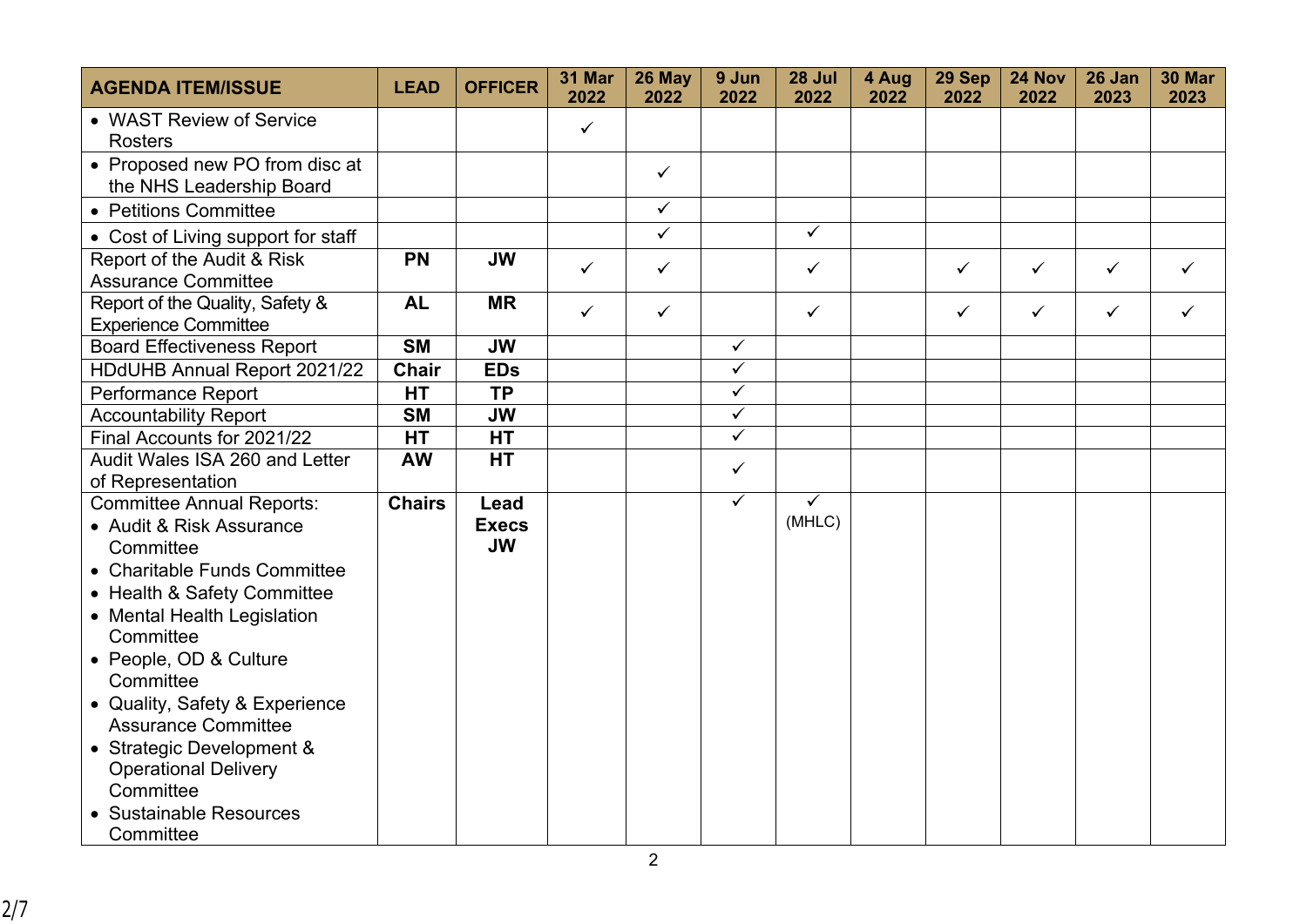| <b>AGENDA ITEM/ISSUE</b>                                       | <b>LEAD</b>   | <b>OFFICER</b>            | 31 Mar<br>2022 | 26 May<br>2022 | 9 Jun<br>2022 | 28 Jul<br>2022 | 4 Aug<br>2022 | 29 Sep<br>2022 | 24 Nov<br>2022 | 26 Jan<br>2023 | <b>30 Mar</b><br>2023 |
|----------------------------------------------------------------|---------------|---------------------------|----------------|----------------|---------------|----------------|---------------|----------------|----------------|----------------|-----------------------|
| • WAST Review of Service<br><b>Rosters</b>                     |               |                           | $\checkmark$   |                |               |                |               |                |                |                |                       |
| • Proposed new PO from disc at<br>the NHS Leadership Board     |               |                           |                | $\checkmark$   |               |                |               |                |                |                |                       |
| • Petitions Committee                                          |               |                           |                | $\checkmark$   |               |                |               |                |                |                |                       |
| • Cost of Living support for staff                             |               |                           |                | $\checkmark$   |               | $\checkmark$   |               |                |                |                |                       |
| Report of the Audit & Risk<br><b>Assurance Committee</b>       | <b>PN</b>     | <b>JW</b>                 | $\checkmark$   | $\checkmark$   |               | $\checkmark$   |               | $\checkmark$   | $\checkmark$   | $\checkmark$   | ✓                     |
| Report of the Quality, Safety &<br><b>Experience Committee</b> | <b>AL</b>     | <b>MR</b>                 | $\checkmark$   | $\checkmark$   |               | $\checkmark$   |               | $\checkmark$   | $\checkmark$   | $\checkmark$   | ✓                     |
| <b>Board Effectiveness Report</b>                              | <b>SM</b>     | <b>JW</b>                 |                |                | $\checkmark$  |                |               |                |                |                |                       |
| HDdUHB Annual Report 2021/22                                   | <b>Chair</b>  | <b>EDs</b>                |                |                | $\checkmark$  |                |               |                |                |                |                       |
| Performance Report                                             | <b>HT</b>     | <b>TP</b>                 |                |                | $\checkmark$  |                |               |                |                |                |                       |
| <b>Accountability Report</b>                                   | <b>SM</b>     | <b>JW</b>                 |                |                | $\checkmark$  |                |               |                |                |                |                       |
| Final Accounts for 2021/22                                     | <b>HT</b>     | <b>HT</b>                 |                |                | $\checkmark$  |                |               |                |                |                |                       |
| Audit Wales ISA 260 and Letter<br>of Representation            | <b>AW</b>     | <b>HT</b>                 |                |                | $\checkmark$  |                |               |                |                |                |                       |
| <b>Committee Annual Reports:</b>                               | <b>Chairs</b> | Lead                      |                |                | $\checkmark$  | $\checkmark$   |               |                |                |                |                       |
| • Audit & Risk Assurance<br>Committee                          |               | <b>Execs</b><br><b>JW</b> |                |                |               | (MHLC)         |               |                |                |                |                       |
| • Charitable Funds Committee                                   |               |                           |                |                |               |                |               |                |                |                |                       |
| • Health & Safety Committee                                    |               |                           |                |                |               |                |               |                |                |                |                       |
| • Mental Health Legislation                                    |               |                           |                |                |               |                |               |                |                |                |                       |
| Committee                                                      |               |                           |                |                |               |                |               |                |                |                |                       |
| • People, OD & Culture<br>Committee                            |               |                           |                |                |               |                |               |                |                |                |                       |
| • Quality, Safety & Experience                                 |               |                           |                |                |               |                |               |                |                |                |                       |
| <b>Assurance Committee</b>                                     |               |                           |                |                |               |                |               |                |                |                |                       |
| • Strategic Development &                                      |               |                           |                |                |               |                |               |                |                |                |                       |
| <b>Operational Delivery</b>                                    |               |                           |                |                |               |                |               |                |                |                |                       |
| Committee                                                      |               |                           |                |                |               |                |               |                |                |                |                       |
| <b>Sustainable Resources</b>                                   |               |                           |                |                |               |                |               |                |                |                |                       |
| Committee                                                      |               |                           |                |                |               |                |               |                |                |                |                       |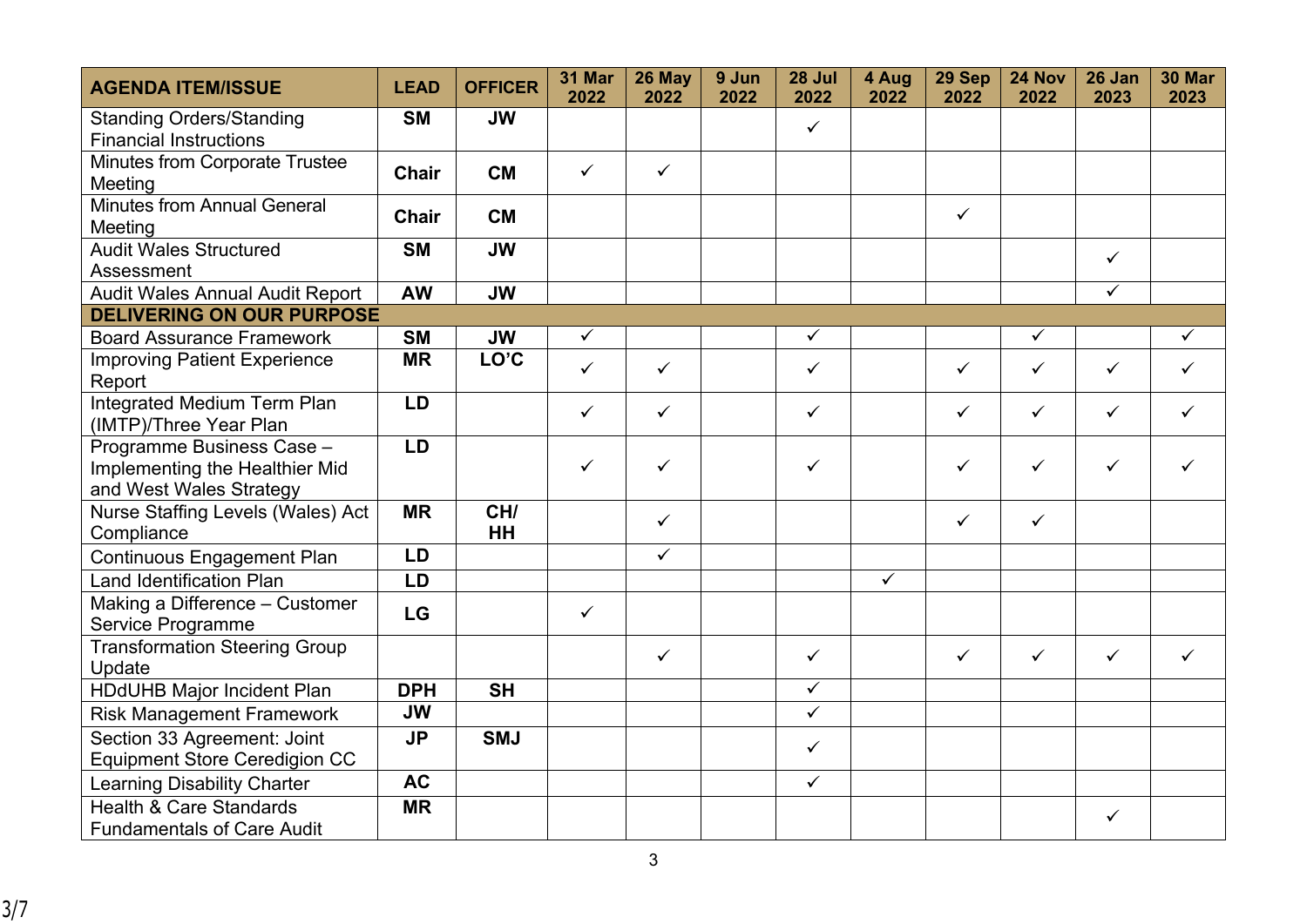| <b>AGENDA ITEM/ISSUE</b>                              | <b>LEAD</b>  | <b>OFFICER</b>           | <b>31 Mar</b><br>2022 | 26 May<br>2022 | 9 Jun<br>2022 | 28 Jul<br>2022          | 4 Aug<br>2022           | 29 Sep<br>2022 | 24 Nov<br>2022 | 26 Jan<br>2023 | <b>30 Mar</b><br>2023 |
|-------------------------------------------------------|--------------|--------------------------|-----------------------|----------------|---------------|-------------------------|-------------------------|----------------|----------------|----------------|-----------------------|
| <b>Standing Orders/Standing</b>                       | <b>SM</b>    | <b>JW</b>                |                       |                |               | $\checkmark$            |                         |                |                |                |                       |
| <b>Financial Instructions</b>                         |              |                          |                       |                |               |                         |                         |                |                |                |                       |
| <b>Minutes from Corporate Trustee</b>                 | <b>Chair</b> | <b>CM</b>                | $\checkmark$          | $\checkmark$   |               |                         |                         |                |                |                |                       |
| Meeting                                               |              |                          |                       |                |               |                         |                         |                |                |                |                       |
| <b>Minutes from Annual General</b><br>Meeting         | <b>Chair</b> | <b>CM</b>                |                       |                |               |                         |                         | $\checkmark$   |                |                |                       |
| <b>Audit Wales Structured</b>                         | <b>SM</b>    | <b>JW</b>                |                       |                |               |                         |                         |                |                | $\checkmark$   |                       |
| Assessment                                            |              |                          |                       |                |               |                         |                         |                |                |                |                       |
| <b>Audit Wales Annual Audit Report</b>                | <b>AW</b>    | <b>JW</b>                |                       |                |               |                         |                         |                |                | $\checkmark$   |                       |
| <b>DELIVERING ON OUR PURPOSE</b>                      |              |                          |                       |                |               |                         |                         |                |                |                |                       |
| <b>Board Assurance Framework</b>                      | <b>SM</b>    | <b>JW</b>                | $\checkmark$          |                |               | $\checkmark$            |                         |                | $\checkmark$   |                | $\checkmark$          |
| <b>Improving Patient Experience</b><br>Report         | <b>MR</b>    | LO'C                     | $\checkmark$          | $\checkmark$   |               | $\checkmark$            |                         | $\checkmark$   | $\checkmark$   | $\checkmark$   | ✓                     |
| Integrated Medium Term Plan<br>(IMTP)/Three Year Plan | LD           |                          | $\checkmark$          | $\checkmark$   |               | ✓                       |                         | ✓              | $\checkmark$   | $\checkmark$   | ✓                     |
| Programme Business Case -                             | LD           |                          |                       |                |               |                         |                         |                |                |                |                       |
| Implementing the Healthier Mid                        |              |                          | $\checkmark$          | ✓              |               | ✓                       |                         | ✓              | $\checkmark$   | $\checkmark$   | ✓                     |
| and West Wales Strategy                               |              |                          |                       |                |               |                         |                         |                |                |                |                       |
| Nurse Staffing Levels (Wales) Act                     | <b>MR</b>    | CH/                      |                       | $\checkmark$   |               |                         |                         | $\checkmark$   | $\checkmark$   |                |                       |
| Compliance                                            |              | <b>HH</b>                |                       |                |               |                         |                         |                |                |                |                       |
| <b>Continuous Engagement Plan</b>                     | LD           |                          |                       | $\checkmark$   |               |                         |                         |                |                |                |                       |
| <b>Land Identification Plan</b>                       | LD           |                          |                       |                |               |                         | $\overline{\checkmark}$ |                |                |                |                       |
| Making a Difference - Customer<br>Service Programme   | LG           |                          | $\checkmark$          |                |               |                         |                         |                |                |                |                       |
| <b>Transformation Steering Group</b>                  |              |                          |                       | $\checkmark$   |               | $\checkmark$            |                         | $\checkmark$   | $\checkmark$   | $\checkmark$   | ✓                     |
| Update                                                |              |                          |                       |                |               |                         |                         |                |                |                |                       |
| <b>HDdUHB Major Incident Plan</b>                     | <b>DPH</b>   | $\overline{\mathsf{SH}}$ |                       |                |               | $\overline{\checkmark}$ |                         |                |                |                |                       |
| <b>Risk Management Framework</b>                      | <b>JW</b>    |                          |                       |                |               | $\checkmark$            |                         |                |                |                |                       |
| Section 33 Agreement: Joint                           | <b>JP</b>    | <b>SMJ</b>               |                       |                |               | $\checkmark$            |                         |                |                |                |                       |
| <b>Equipment Store Ceredigion CC</b>                  |              |                          |                       |                |               |                         |                         |                |                |                |                       |
| <b>Learning Disability Charter</b>                    | <b>AC</b>    |                          |                       |                |               | $\checkmark$            |                         |                |                |                |                       |
| <b>Health &amp; Care Standards</b>                    | <b>MR</b>    |                          |                       |                |               |                         |                         |                |                | ✓              |                       |
| <b>Fundamentals of Care Audit</b>                     |              |                          |                       |                |               |                         |                         |                |                |                |                       |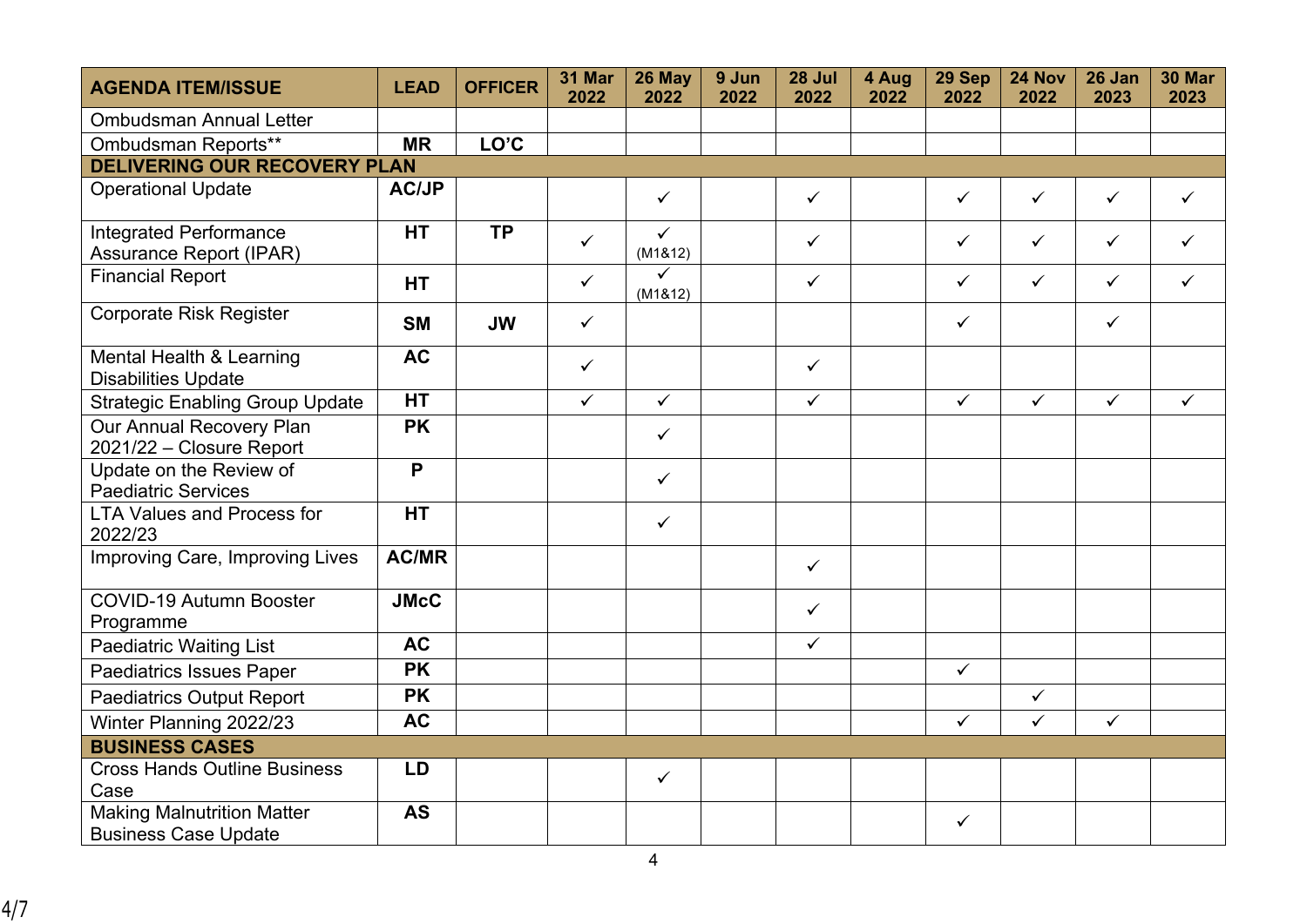| <b>AGENDA ITEM/ISSUE</b>                                         | <b>LEAD</b>  | <b>OFFICER</b> | <b>31 Mar</b><br>2022 | 26 May<br>2022          | 9 Jun<br>2022 | 28 Jul<br>2022 | 4 Aug<br>2022 | 29 Sep<br>2022 | 24 Nov<br>2022 | 26 Jan<br>2023 | <b>30 Mar</b><br>2023 |
|------------------------------------------------------------------|--------------|----------------|-----------------------|-------------------------|---------------|----------------|---------------|----------------|----------------|----------------|-----------------------|
| <b>Ombudsman Annual Letter</b>                                   |              |                |                       |                         |               |                |               |                |                |                |                       |
| Ombudsman Reports**                                              | <b>MR</b>    | LO'C           |                       |                         |               |                |               |                |                |                |                       |
| <b>DELIVERING OUR RECOVERY PLAN</b>                              |              |                |                       |                         |               |                |               |                |                |                |                       |
| <b>Operational Update</b>                                        | <b>AC/JP</b> |                |                       | $\checkmark$            |               | $\checkmark$   |               | $\checkmark$   | $\checkmark$   | $\checkmark$   | $\checkmark$          |
| <b>Integrated Performance</b><br><b>Assurance Report (IPAR)</b>  | <b>HT</b>    | <b>TP</b>      | $\checkmark$          | $\checkmark$<br>(M1&12) |               | $\checkmark$   |               | $\checkmark$   | $\checkmark$   | $\checkmark$   | $\checkmark$          |
| <b>Financial Report</b>                                          | <b>HT</b>    |                | $\checkmark$          | $\checkmark$<br>(M1&12) |               | $\checkmark$   |               | $\checkmark$   | $\checkmark$   | $\checkmark$   | $\checkmark$          |
| <b>Corporate Risk Register</b>                                   | <b>SM</b>    | <b>JW</b>      | $\checkmark$          |                         |               |                |               | $\checkmark$   |                | $\checkmark$   |                       |
| Mental Health & Learning<br><b>Disabilities Update</b>           | <b>AC</b>    |                | $\checkmark$          |                         |               | $\checkmark$   |               |                |                |                |                       |
| <b>Strategic Enabling Group Update</b>                           | <b>HT</b>    |                | $\checkmark$          | $\checkmark$            |               | $\checkmark$   |               | $\checkmark$   | $\checkmark$   | $\checkmark$   | $\checkmark$          |
| Our Annual Recovery Plan<br>2021/22 - Closure Report             | <b>PK</b>    |                |                       | $\checkmark$            |               |                |               |                |                |                |                       |
| Update on the Review of<br><b>Paediatric Services</b>            | P            |                |                       | $\checkmark$            |               |                |               |                |                |                |                       |
| <b>LTA Values and Process for</b><br>2022/23                     | <b>HT</b>    |                |                       | $\checkmark$            |               |                |               |                |                |                |                       |
| Improving Care, Improving Lives                                  | <b>AC/MR</b> |                |                       |                         |               | $\checkmark$   |               |                |                |                |                       |
| <b>COVID-19 Autumn Booster</b><br>Programme                      | <b>JMcC</b>  |                |                       |                         |               | $\checkmark$   |               |                |                |                |                       |
| <b>Paediatric Waiting List</b>                                   | <b>AC</b>    |                |                       |                         |               | $\checkmark$   |               |                |                |                |                       |
| <b>Paediatrics Issues Paper</b>                                  | <b>PK</b>    |                |                       |                         |               |                |               | $\checkmark$   |                |                |                       |
| <b>Paediatrics Output Report</b>                                 | <b>PK</b>    |                |                       |                         |               |                |               |                | $\checkmark$   |                |                       |
| Winter Planning 2022/23                                          | <b>AC</b>    |                |                       |                         |               |                |               | $\checkmark$   | $\checkmark$   | $\checkmark$   |                       |
| <b>BUSINESS CASES</b>                                            |              |                |                       |                         |               |                |               |                |                |                |                       |
| <b>Cross Hands Outline Business</b><br>Case                      | <b>LD</b>    |                |                       | $\checkmark$            |               |                |               |                |                |                |                       |
| <b>Making Malnutrition Matter</b><br><b>Business Case Update</b> | <b>AS</b>    |                |                       |                         |               |                |               | $\checkmark$   |                |                |                       |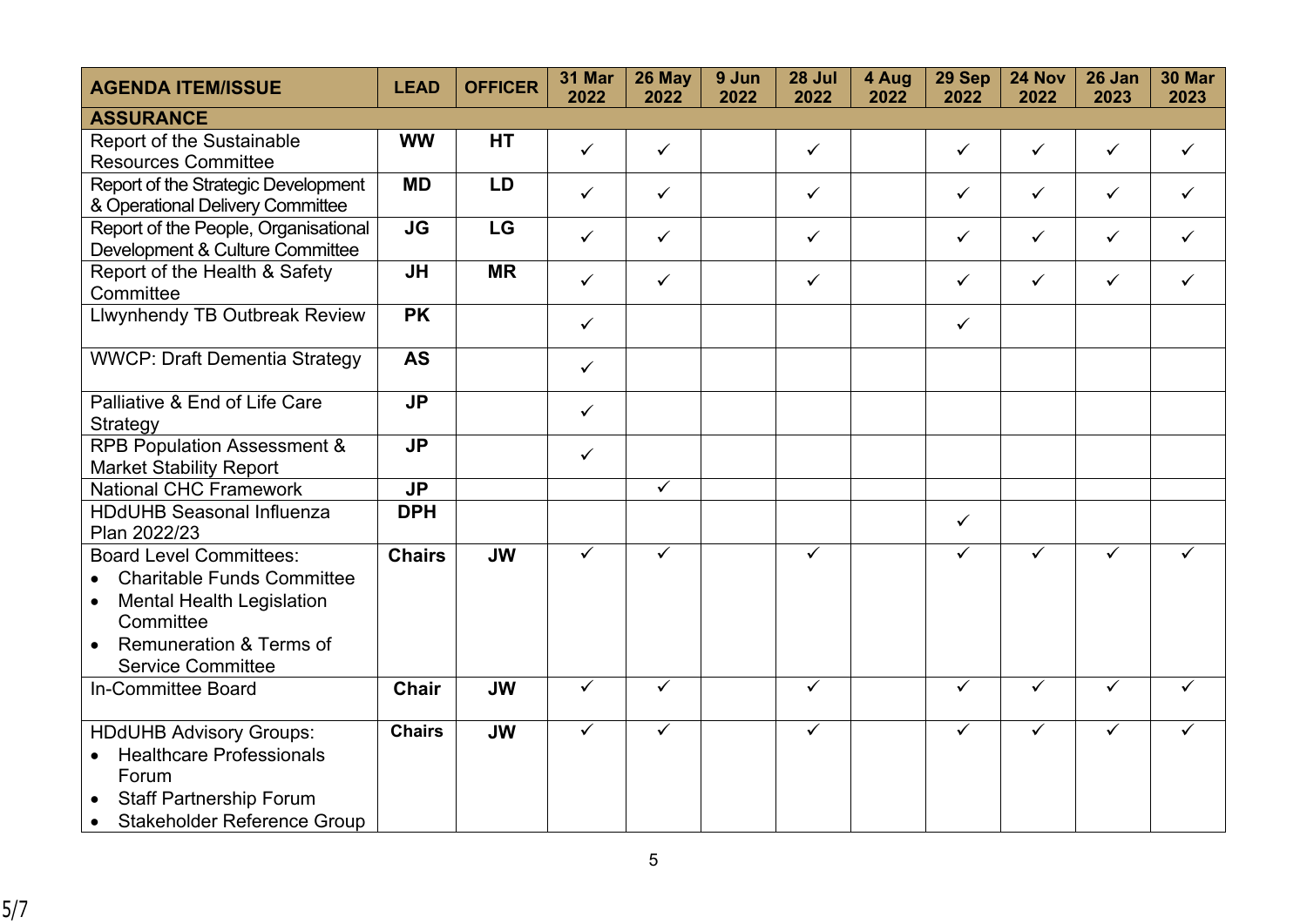| <b>AGENDA ITEM/ISSUE</b>                                                                                                                                                                 | <b>LEAD</b>   | <b>OFFICER</b> | 31 Mar<br>2022 | 26 May<br>2022          | 9 Jun<br>2022 | 28 Jul<br>2022 | 4 Aug<br>2022 | 29 Sep<br>2022 | 24 Nov<br>2022 | 26 Jan<br>2023          | <b>30 Mar</b><br>2023 |
|------------------------------------------------------------------------------------------------------------------------------------------------------------------------------------------|---------------|----------------|----------------|-------------------------|---------------|----------------|---------------|----------------|----------------|-------------------------|-----------------------|
| <b>ASSURANCE</b>                                                                                                                                                                         |               |                |                |                         |               |                |               |                |                |                         |                       |
| Report of the Sustainable<br><b>Resources Committee</b>                                                                                                                                  | <b>WW</b>     | <b>HT</b>      | $\checkmark$   | $\checkmark$            |               | $\checkmark$   |               | $\checkmark$   | $\checkmark$   | $\checkmark$            | ✓                     |
| Report of the Strategic Development<br>& Operational Delivery Committee                                                                                                                  | <b>MD</b>     | <b>LD</b>      | $\checkmark$   | $\checkmark$            |               | $\checkmark$   |               | $\checkmark$   | $\checkmark$   | $\checkmark$            | $\checkmark$          |
| Report of the People, Organisational<br>Development & Culture Committee                                                                                                                  | JG            | LG             | $\checkmark$   | $\checkmark$            |               | $\checkmark$   |               | $\checkmark$   | $\checkmark$   | $\checkmark$            | $\checkmark$          |
| Report of the Health & Safety<br>Committee                                                                                                                                               | JH            | <b>MR</b>      | $\checkmark$   | $\checkmark$            |               | $\checkmark$   |               | $\checkmark$   | $\checkmark$   | $\checkmark$            | $\checkmark$          |
| <b>Llwynhendy TB Outbreak Review</b>                                                                                                                                                     | <b>PK</b>     |                | $\checkmark$   |                         |               |                |               | $\checkmark$   |                |                         |                       |
| <b>WWCP: Draft Dementia Strategy</b>                                                                                                                                                     | <b>AS</b>     |                | $\checkmark$   |                         |               |                |               |                |                |                         |                       |
| Palliative & End of Life Care<br>Strategy                                                                                                                                                | <b>JP</b>     |                | $\checkmark$   |                         |               |                |               |                |                |                         |                       |
| <b>RPB Population Assessment &amp;</b><br><b>Market Stability Report</b>                                                                                                                 | <b>JP</b>     |                | $\checkmark$   |                         |               |                |               |                |                |                         |                       |
| <b>National CHC Framework</b>                                                                                                                                                            | <b>JP</b>     |                |                | $\checkmark$            |               |                |               |                |                |                         |                       |
| <b>HDdUHB Seasonal Influenza</b><br>Plan 2022/23                                                                                                                                         | <b>DPH</b>    |                |                |                         |               |                |               | ✓              |                |                         |                       |
| <b>Board Level Committees:</b><br><b>Charitable Funds Committee</b><br><b>Mental Health Legislation</b><br>$\bullet$<br>Committee<br>Remuneration & Terms of<br><b>Service Committee</b> | <b>Chairs</b> | <b>JW</b>      | $\checkmark$   | $\overline{\checkmark}$ |               | $\checkmark$   |               | $\checkmark$   | $\checkmark$   | ✓                       | ✓                     |
| In-Committee Board                                                                                                                                                                       | <b>Chair</b>  | <b>JW</b>      | $\checkmark$   | $\overline{\checkmark}$ |               | $\checkmark$   |               | $\checkmark$   | $\checkmark$   | $\overline{\checkmark}$ | $\checkmark$          |
| <b>HDdUHB Advisory Groups:</b><br><b>Healthcare Professionals</b><br>$\bullet$<br>Forum<br><b>Staff Partnership Forum</b><br><b>Stakeholder Reference Group</b>                          | <b>Chairs</b> | <b>JW</b>      | $\checkmark$   | $\checkmark$            |               | $\checkmark$   |               | ✓              | $\checkmark$   | $\checkmark$            |                       |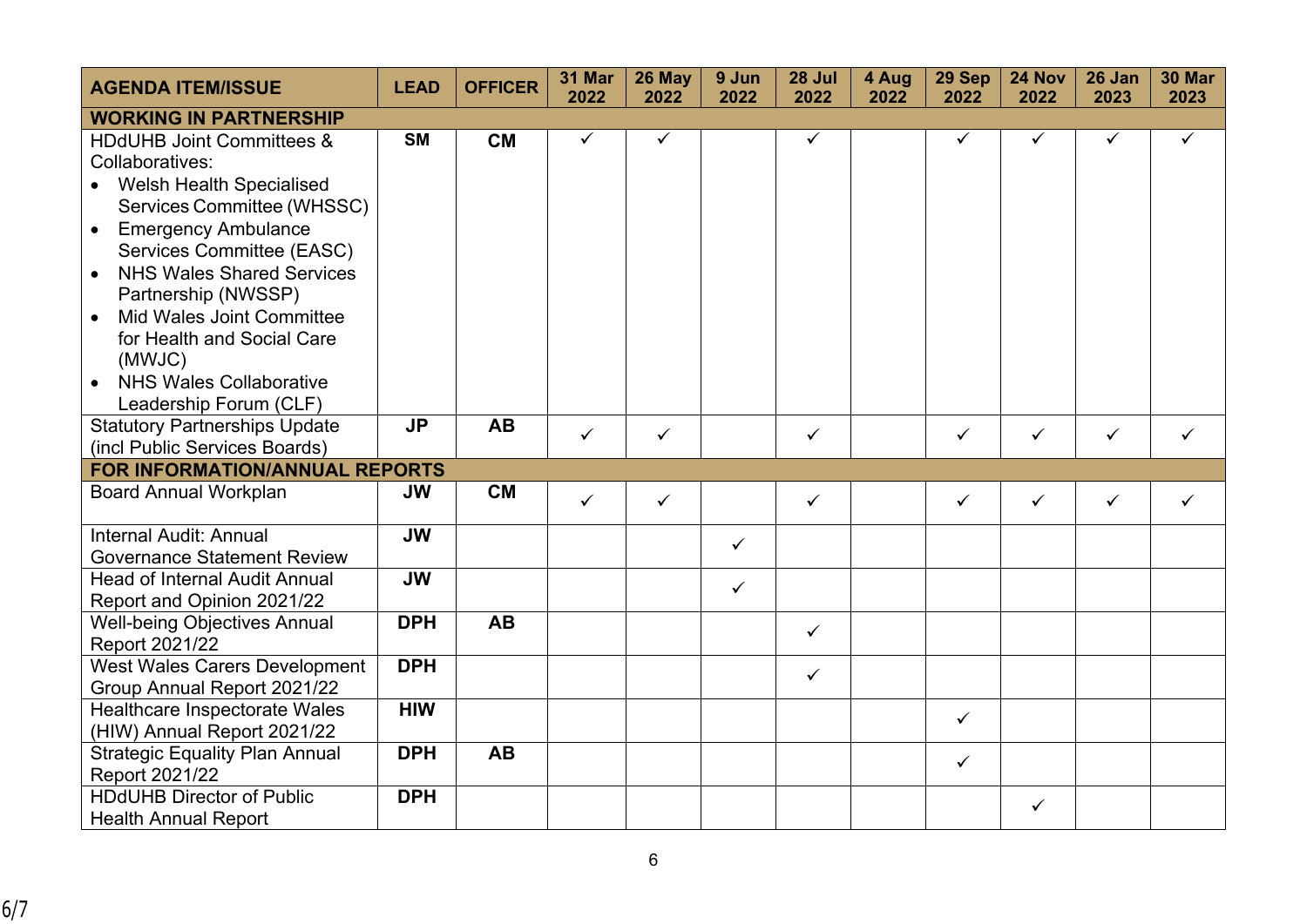| <b>AGENDA ITEM/ISSUE</b>                                                                                                                                                                                                                                                                                                                                     | <b>LEAD</b> | <b>OFFICER</b> | 31 Mar<br>2022 | 26 May<br>2022 | 9 Jun<br>2022 | 28 Jul<br>2022 | 4 Aug<br>2022 | 29 Sep<br>2022 | 24 Nov<br>2022 | 26 Jan<br>2023 | <b>30 Mar</b><br>2023 |
|--------------------------------------------------------------------------------------------------------------------------------------------------------------------------------------------------------------------------------------------------------------------------------------------------------------------------------------------------------------|-------------|----------------|----------------|----------------|---------------|----------------|---------------|----------------|----------------|----------------|-----------------------|
| <b>WORKING IN PARTNERSHIP</b>                                                                                                                                                                                                                                                                                                                                |             |                |                |                |               |                |               |                |                |                |                       |
| <b>HDdUHB Joint Committees &amp;</b><br>Collaboratives:<br>• Welsh Health Specialised<br>Services Committee (WHSSC)<br><b>Emergency Ambulance</b><br>$\bullet$<br>Services Committee (EASC)<br><b>NHS Wales Shared Services</b><br>$\bullet$<br>Partnership (NWSSP)<br><b>Mid Wales Joint Committee</b><br>$\bullet$<br>for Health and Social Care<br>(MWJC) | <b>SM</b>   | <b>CM</b>      | ✓              | ✓              |               | ✓              |               | $\checkmark$   | ✓              | $\checkmark$   | $\checkmark$          |
| <b>NHS Wales Collaborative</b><br>$\bullet$<br>Leadership Forum (CLF)                                                                                                                                                                                                                                                                                        |             |                |                |                |               |                |               |                |                |                |                       |
| <b>Statutory Partnerships Update</b><br>(incl Public Services Boards)                                                                                                                                                                                                                                                                                        | <b>JP</b>   | <b>AB</b>      | $\checkmark$   | $\checkmark$   |               | $\checkmark$   |               | $\checkmark$   | $\checkmark$   | $\checkmark$   | ✓                     |
| FOR INFORMATION/ANNUAL REPORTS                                                                                                                                                                                                                                                                                                                               |             |                |                |                |               |                |               |                |                |                |                       |
| <b>Board Annual Workplan</b>                                                                                                                                                                                                                                                                                                                                 | <b>JW</b>   | <b>CM</b>      | $\checkmark$   | $\checkmark$   |               | ✓              |               | $\checkmark$   | $\checkmark$   | $\checkmark$   | ✓                     |
| <b>Internal Audit: Annual</b><br><b>Governance Statement Review</b>                                                                                                                                                                                                                                                                                          | <b>JW</b>   |                |                |                | $\checkmark$  |                |               |                |                |                |                       |
| <b>Head of Internal Audit Annual</b><br>Report and Opinion 2021/22                                                                                                                                                                                                                                                                                           | <b>JW</b>   |                |                |                | $\checkmark$  |                |               |                |                |                |                       |
| <b>Well-being Objectives Annual</b><br>Report 2021/22                                                                                                                                                                                                                                                                                                        | <b>DPH</b>  | <b>AB</b>      |                |                |               | $\checkmark$   |               |                |                |                |                       |
| <b>West Wales Carers Development</b><br>Group Annual Report 2021/22                                                                                                                                                                                                                                                                                          | <b>DPH</b>  |                |                |                |               | $\checkmark$   |               |                |                |                |                       |
| Healthcare Inspectorate Wales<br>(HIW) Annual Report 2021/22                                                                                                                                                                                                                                                                                                 | <b>HIW</b>  |                |                |                |               |                |               | $\checkmark$   |                |                |                       |
| <b>Strategic Equality Plan Annual</b><br>Report 2021/22                                                                                                                                                                                                                                                                                                      | <b>DPH</b>  | <b>AB</b>      |                |                |               |                |               | $\checkmark$   |                |                |                       |
| <b>HDdUHB Director of Public</b><br><b>Health Annual Report</b>                                                                                                                                                                                                                                                                                              | <b>DPH</b>  |                |                |                |               |                |               |                | $\checkmark$   |                |                       |